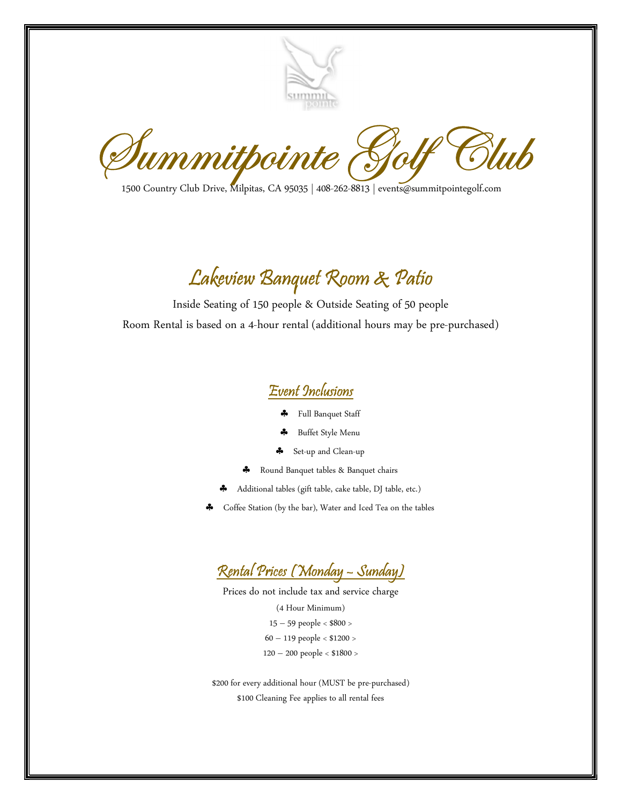

 $\mathscr{D}\!\mathit{ummithointe}_\mathit{1500}\mathit{C\mathit{outf}}\mathit{G\mathit{in}}_\mathit{1500}\mathit{C\mathit{outry}\mathit{Club}\mathit{Dirive},\mathit{Milpitas, CA}\mathit{95035}\mid\mathit{408-262-8813}\mid\mathit{events@summithpointegolf.com}}$ 

## Lakeview Banquet Room & Patio

Inside Seating of 150 people & Outside Seating of 50 people Room Rental is based on a 4-hour rental (additional hours may be pre-purchased)



- Full Banquet Staff
- Buffet Style Menu
- Set-up and Clean-up
- \* Round Banquet tables & Banquet chairs
- Additional tables (gift table, cake table, DJ table, etc.)
- Coffee Station (by the bar), Water and Iced Tea on the tables



Prices do not include tax and service charge

(4 Hour Minimum) 15 – 59 people < \$800 > 60 – 119 people < \$1200 > 120 – 200 people < \$1800 >

\$200 for every additional hour (MUST be pre-purchased) \$100 Cleaning Fee applies to all rental fees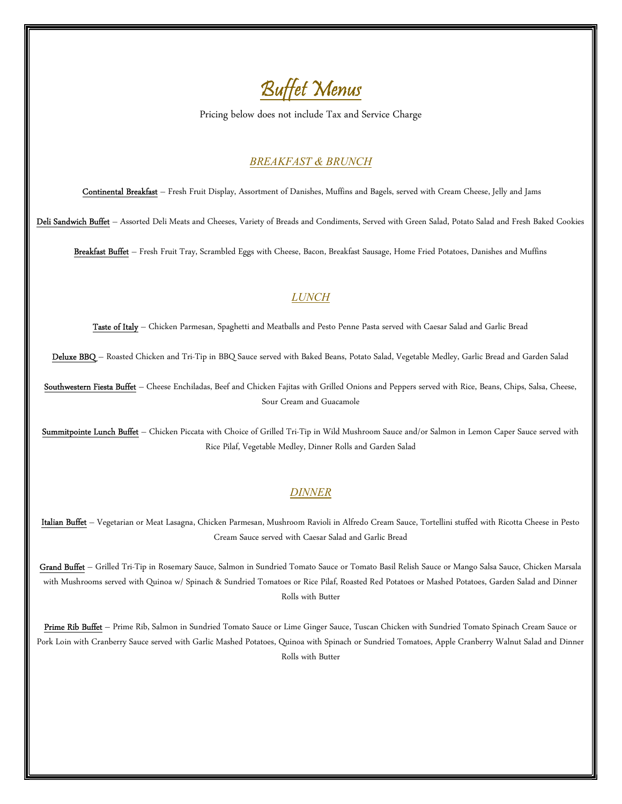

Pricing below does not include Tax and Service Charge

#### BREAKFAST & BRUNCH

Continental Breakfast – Fresh Fruit Display, Assortment of Danishes, Muffins and Bagels, served with Cream Cheese, Jelly and Jams

Deli Sandwich Buffet - Assorted Deli Meats and Cheeses, Variety of Breads and Condiments, Served with Green Salad, Potato Salad and Fresh Baked Cookies

Breakfast Buffet - Fresh Fruit Tray, Scrambled Eggs with Cheese, Bacon, Breakfast Sausage, Home Fried Potatoes, Danishes and Muffins

## LUNCH

Taste of Italy - Chicken Parmesan, Spaghetti and Meatballs and Pesto Penne Pasta served with Caesar Salad and Garlic Bread

Deluxe BBQ - Roasted Chicken and Tri-Tip in BBQ Sauce served with Baked Beans, Potato Salad, Vegetable Medley, Garlic Bread and Garden Salad

Southwestern Fiesta Buffet - Cheese Enchiladas, Beef and Chicken Fajitas with Grilled Onions and Peppers served with Rice, Beans, Chips, Salsa, Cheese, Sour Cream and Guacamole

Summitpointe Lunch Buffet - Chicken Piccata with Choice of Grilled Tri-Tip in Wild Mushroom Sauce and/or Salmon in Lemon Caper Sauce served with Rice Pilaf, Vegetable Medley, Dinner Rolls and Garden Salad

#### DINNER

Italian Buffet - Vegetarian or Meat Lasagna, Chicken Parmesan, Mushroom Ravioli in Alfredo Cream Sauce, Tortellini stuffed with Ricotta Cheese in Pesto Cream Sauce served with Caesar Salad and Garlic Bread

Grand Buffet - Grilled Tri-Tip in Rosemary Sauce, Salmon in Sundried Tomato Sauce or Tomato Basil Relish Sauce or Mango Salsa Sauce, Chicken Marsala with Mushrooms served with Quinoa w/ Spinach & Sundried Tomatoes or Rice Pilaf, Roasted Red Potatoes or Mashed Potatoes, Garden Salad and Dinner Rolls with Butter

Prime Rib Buffet - Prime Rib, Salmon in Sundried Tomato Sauce or Lime Ginger Sauce, Tuscan Chicken with Sundried Tomato Spinach Cream Sauce or Pork Loin with Cranberry Sauce served with Garlic Mashed Potatoes, Quinoa with Spinach or Sundried Tomatoes, Apple Cranberry Walnut Salad and Dinner Rolls with Butter